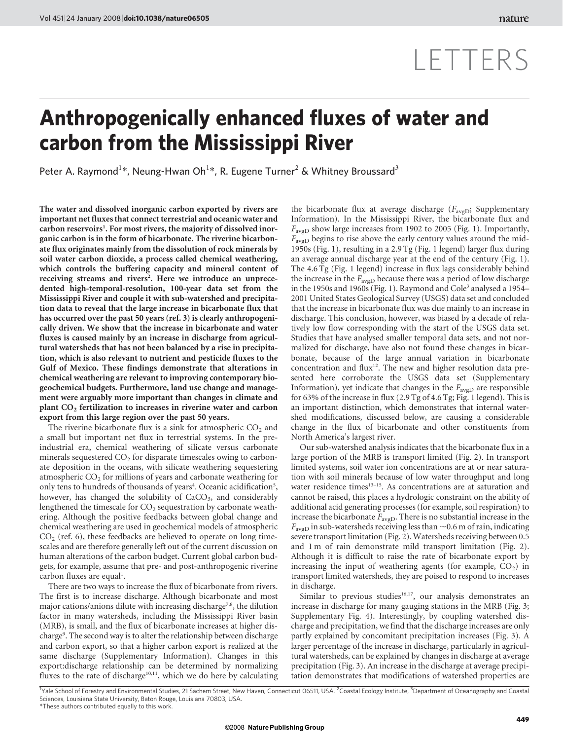## LETTERS

## Anthropogenically enhanced fluxes of water and carbon from the Mississippi River

Peter A. Raymond<sup>1\*</sup>, Neung-Hwan Oh<sup>1\*</sup>, R. Eugene Turner<sup>2</sup> & Whitney Broussard<sup>3</sup>

The water and dissolved inorganic carbon exported by rivers are important net fluxes that connect terrestrial and oceanic water and carbon reservoirs<sup>1</sup>. For most rivers, the majority of dissolved inorganic carbon is in the form of bicarbonate. The riverine bicarbonate flux originates mainly from the dissolution of rock minerals by soil water carbon dioxide, a process called chemical weathering, which controls the buffering capacity and mineral content of receiving streams and rivers<sup>2</sup>. Here we introduce an unprecedented high-temporal-resolution, 100-year data set from the Mississippi River and couple it with sub-watershed and precipitation data to reveal that the large increase in bicarbonate flux that has occurred over the past 50 years (ref. 3) is clearly anthropogenically driven. We show that the increase in bicarbonate and water fluxes is caused mainly by an increase in discharge from agricultural watersheds that has not been balanced by a rise in precipitation, which is also relevant to nutrient and pesticide fluxes to the Gulf of Mexico. These findings demonstrate that alterations in chemical weathering are relevant to improving contemporary biogeochemical budgets. Furthermore, land use change and management were arguably more important than changes in climate and plant CO<sub>2</sub> fertilization to increases in riverine water and carbon export from this large region over the past 50 years.

The riverine bicarbonate flux is a sink for atmospheric  $CO<sub>2</sub>$  and a small but important net flux in terrestrial systems. In the preindustrial era, chemical weathering of silicate versus carbonate minerals sequestered  $CO<sub>2</sub>$  for disparate timescales owing to carbonate deposition in the oceans, with silicate weathering sequestering atmospheric  $CO<sub>2</sub>$  for millions of years and carbonate weathering for only tens to hundreds of thousands of years<sup>4</sup>. Oceanic acidification<sup>5</sup>, however, has changed the solubility of  $CaCO<sub>3</sub>$ , and considerably lengthened the timescale for  $CO<sub>2</sub>$  sequestration by carbonate weathering. Although the positive feedbacks between global change and chemical weathering are used in geochemical models of atmospheric  $CO<sub>2</sub>$  (ref. 6), these feedbacks are believed to operate on long timescales and are therefore generally left out of the current discussion on human alterations of the carbon budget. Current global carbon budgets, for example, assume that pre- and post-anthropogenic riverine carbon fluxes are equal<sup>1</sup>.

There are two ways to increase the flux of bicarbonate from rivers. The first is to increase discharge. Although bicarbonate and most major cations/anions dilute with increasing discharge<sup>7,8</sup>, the dilution factor in many watersheds, including the Mississippi River basin (MRB), is small, and the flux of bicarbonate increases at higher discharge<sup>9</sup>. The second way is to alter the relationship between discharge and carbon export, so that a higher carbon export is realized at the same discharge (Supplementary Information). Changes in this export:discharge relationship can be determined by normalizing fluxes to the rate of discharge<sup>10,11</sup>, which we do here by calculating the bicarbonate flux at average discharge ( $F_{\text{avgD}}$ ; Supplementary Information). In the Mississippi River, the bicarbonate flux and  $F_{\text{avgD}}$  show large increases from 1902 to 2005 (Fig. 1). Importantly,  $F_{\text{avgD}}$  begins to rise above the early century values around the mid-1950s (Fig. 1), resulting in a 2.9 Tg (Fig. 1 legend) larger flux during an average annual discharge year at the end of the century (Fig. 1). The 4.6 Tg (Fig. 1 legend) increase in flux lags considerably behind the increase in the  $F_{\text{avgD}}$  because there was a period of low discharge in the 1950s and 1960s (Fig. 1). Raymond and Cole<sup>3</sup> analysed a 1954– 2001 United States Geological Survey (USGS) data set and concluded that the increase in bicarbonate flux was due mainly to an increase in discharge. This conclusion, however, was biased by a decade of relatively low flow corresponding with the start of the USGS data set. Studies that have analysed smaller temporal data sets, and not normalized for discharge, have also not found these changes in bicarbonate, because of the large annual variation in bicarbonate concentration and flux<sup>12</sup>. The new and higher resolution data presented here corroborate the USGS data set (Supplementary Information), yet indicate that changes in the  $F_{\text{avgD}}$  are responsible for 63% of the increase in flux (2.9 Tg of 4.6 Tg; Fig. 1 legend). This is an important distinction, which demonstrates that internal watershed modifications, discussed below, are causing a considerable change in the flux of bicarbonate and other constituents from North America's largest river.

Our sub-watershed analysis indicates that the bicarbonate flux in a large portion of the MRB is transport limited (Fig. 2). In transport limited systems, soil water ion concentrations are at or near saturation with soil minerals because of low water throughput and long water residence times<sup>13-15</sup>. As concentrations are at saturation and cannot be raised, this places a hydrologic constraint on the ability of additional acid generating processes (for example, soil respiration) to increase the bicarbonate  $F_{\text{avgD}}$ . There is no substantial increase in the  $F_{\text{avgD}}$  in sub-watersheds receiving less than  $\sim$ 0.6 m of rain, indicating severe transport limitation (Fig. 2). Watersheds receiving between 0.5 and 1 m of rain demonstrate mild transport limitation (Fig. 2). Although it is difficult to raise the rate of bicarbonate export by increasing the input of weathering agents (for example,  $CO<sub>2</sub>$ ) in transport limited watersheds, they are poised to respond to increases in discharge.

Similar to previous studies<sup>16,17</sup>, our analysis demonstrates an increase in discharge for many gauging stations in the MRB (Fig. 3; Supplementary Fig. 4). Interestingly, by coupling watershed discharge and precipitation, we find that the discharge increases are only partly explained by concomitant precipitation increases (Fig. 3). A larger percentage of the increase in discharge, particularly in agricultural watersheds, can be explained by changes in discharge at average precipitation (Fig. 3). An increase in the discharge at average precipitation demonstrates that modifications of watershed properties are

*\**These authors contributed equally to this work. <sup>1</sup>Yale School of Forestry and Environmental Studies, 21 Sachem Street, New Haven, Connecticut 06511, USA. <sup>2</sup>Coastal Ecology Institute, <sup>3</sup>Department of Oceanography and Coastal Sciences, Louisiana State University, Baton Rouge, Louisiana 70803, USA.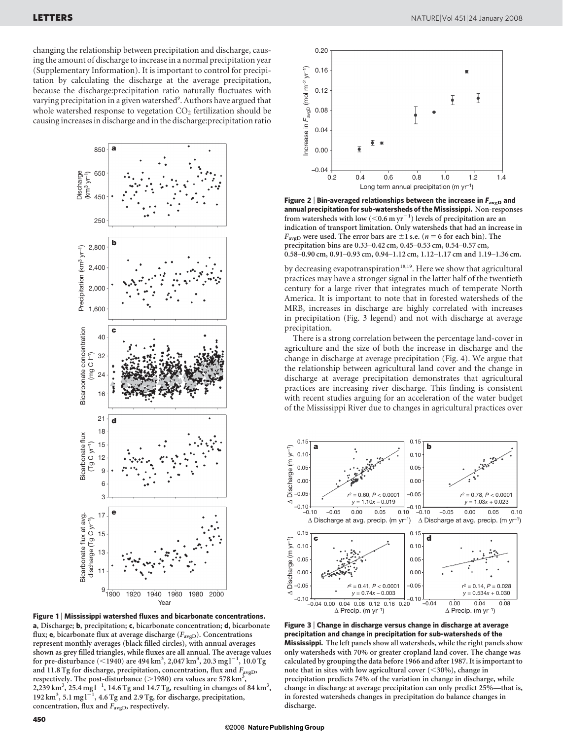changing the relationship between precipitation and discharge, causing the amount of discharge to increase in a normal precipitation year (Supplementary Information). It is important to control for precipitation by calculating the discharge at the average precipitation, because the discharge:precipitation ratio naturally fluctuates with varying precipitation in a given watershed<sup>9</sup>. Authors have argued that whole watershed response to vegetation  $CO<sub>2</sub>$  fertilization should be causing increases in discharge and in the discharge:precipitation ratio



Figure 1 | Mississippi watershed fluxes and bicarbonate concentrations. a, Discharge; b, precipitation; c, bicarbonate concentration; d, bicarbonate flux; **e**, bicarbonate flux at average discharge ( $F_{\text{avgD}}$ ). Concentrations represent monthly averages (black filled circles), with annual averages shown as grey filled triangles, while fluxes are all annual. The average values for pre-disturbance (<1940) are 494 km<sup>3</sup>, 2,047 km<sup>3</sup>, 20.3 mg1<sup>-1</sup>, 10.0 Tg and 11.8 Tg for discharge, precipitation, concentration, flux and  $F_{\text{aveD}}$ , respectively. The post-disturbance ( $>$ 1980) era values are 578 km<sup>3</sup> , 2,239 km<sup>3</sup>, 25.4 mg l<sup>-1</sup>, 14.6 Tg and 14.7 Tg, resulting in changes of 84 km<sup>3</sup>, 192  $\text{km}^3$ , 5.1 mg  $1^{-1}$ , 4.6 Tg and 2.9 Tg, for discharge, precipitation, concentration, flux and  $F_{\text{avgD}}$ , respectively.



Figure 2 | Bin-averaged relationships between the increase in  $F_{\text{avgD}}$  and annual precipitation for sub-watersheds of the Mississippi. Non-responses from watersheds with low (<0.6 m  $yr^{-1}$ ) levels of precipitation are an indication of transport limitation. Only watersheds that had an increase in  $F_{\text{avgD}}$  were used. The error bars are  $\pm 1$  s.e. (n = 6 for each bin). The precipitation bins are 0.33–0.42 cm, 0.45–0.53 cm, 0.54–0.57 cm, 0.58–0.90 cm, 0.91–0.93 cm, 0.94–1.12 cm, 1.12–1.17 cm and 1.19–1.36 cm.

by decreasing evapotranspiration<sup>18,19</sup>. Here we show that agricultural practices may have a stronger signal in the latter half of the twentieth century for a large river that integrates much of temperate North America. It is important to note that in forested watersheds of the MRB, increases in discharge are highly correlated with increases in precipitation (Fig. 3 legend) and not with discharge at average precipitation.

There is a strong correlation between the percentage land-cover in agriculture and the size of both the increase in discharge and the change in discharge at average precipitation (Fig. 4). We argue that the relationship between agricultural land cover and the change in discharge at average precipitation demonstrates that agricultural practices are increasing river discharge. This finding is consistent with recent studies arguing for an acceleration of the water budget of the Mississippi River due to changes in agricultural practices over



Figure 3 <sup>|</sup> Change in discharge versus change in discharge at average precipitation and change in precipitation for sub-watersheds of the Mississippi. The left panels show all watersheds, while the right panels show only watersheds with 70% or greater cropland land cover. The change was calculated by grouping the data before 1966 and after 1987. It is important to note that in sites with low agricultural cover  $(<$ 30%), change in precipitation predicts 74% of the variation in change in discharge, while change in discharge at average precipitation can only predict 25%—that is, in forested watersheds changes in precipitation do balance changes in discharge.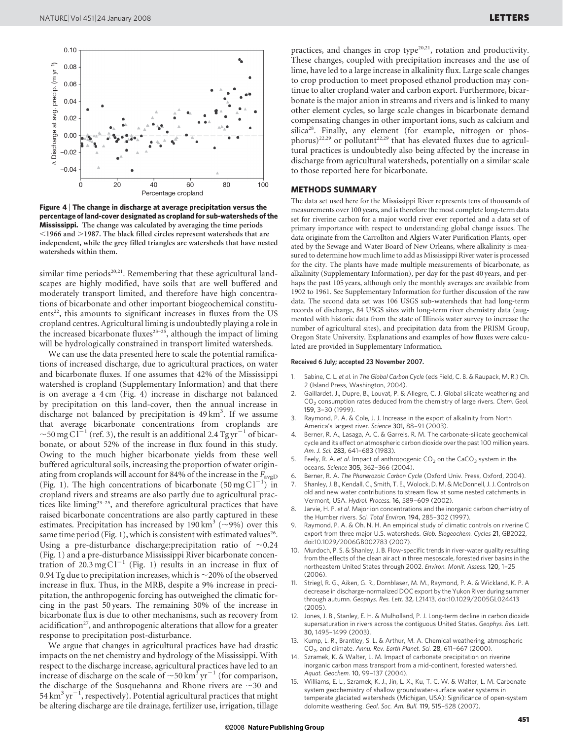

Figure 4 <sup>|</sup> The change in discharge at average precipitation versus the percentage of land-cover designated as cropland for sub-watersheds of the Mississippi. The change was calculated by averaging the time periods  $<$ 1966 and  $>$ 1987. The black filled circles represent watersheds that are independent, while the grey filled triangles are watersheds that have nested watersheds within them.

similar time periods<sup>20,21</sup>. Remembering that these agricultural landscapes are highly modified, have soils that are well buffered and moderately transport limited, and therefore have high concentrations of bicarbonate and other important biogeochemical constituents<sup>22</sup>, this amounts to significant increases in fluxes from the US cropland centres. Agricultural liming is undoubtedly playing a role in the increased bicarbonate fluxes $23-25$ , although the impact of liming will be hydrologically constrained in transport limited watersheds.

We can use the data presented here to scale the potential ramifications of increased discharge, due to agricultural practices, on water and bicarbonate fluxes. If one assumes that 42% of the Mississippi watershed is cropland (Supplementary Information) and that there is on average a 4 cm (Fig. 4) increase in discharge not balanced by precipitation on this land-cover, then the annual increase in discharge not balanced by precipitation is 49 km<sup>3</sup>. If we assume that average bicarbonate concentrations from croplands are  $\sim$ 50 mg C l<sup> $-1$ </sup> (ref. 3), the result is an additional 2.4 Tg yr<sup>-1</sup> of bicarbonate, or about 52% of the increase in flux found in this study. Owing to the much higher bicarbonate yields from these well buffered agricultural soils, increasing the proportion of water originating from croplands will account for 84% of the increase in the  $F_{\text{avgD}}$ (Fig. 1). The high concentrations of bicarbonate  $(50 \text{ mg C} l^{-1})$  in cropland rivers and streams are also partly due to agricultural practices like liming<sup>23-25</sup>, and therefore agricultural practices that have raised bicarbonate concentrations are also partly captured in these estimates. Precipitation has increased by 190 km<sup>3</sup> ( $\sim$ 9%) over this same time period (Fig. 1), which is consistent with estimated values<sup>26</sup>. Using a pre-disturbance discharge: precipitation ratio of  $\sim$  0.24 (Fig. 1) and a pre-disturbance Mississippi River bicarbonate concentration of  $20.3 \text{ mg Cl}^{-1}$  (Fig. 1) results in an increase in flux of 0.94 Tg due to precipitation increases, which is  $\sim$  20% of the observed increase in flux. Thus, in the MRB, despite a 9% increase in precipitation, the anthropogenic forcing has outweighed the climatic forcing in the past 50 years. The remaining 30% of the increase in bicarbonate flux is due to other mechanisms, such as recovery from acidification<sup>27</sup>, and anthropogenic alterations that allow for a greater response to precipitation post-disturbance.

We argue that changes in agricultural practices have had drastic impacts on the net chemistry and hydrology of the Mississippi. With respect to the discharge increase, agricultural practices have led to an increase of discharge on the scale of  $\sim$  50 km<sup>3</sup> yr<sup>-1</sup> (for comparison, the discharge of the Susquehanna and Rhone rivers are  $\sim$ 30 and 54 km $\mathrm{^{3}\,yr}^{-1}$ , respectively). Potential agricultural practices that might be altering discharge are tile drainage, fertilizer use, irrigation, tillage practices, and changes in crop type<sup>20,21</sup>, rotation and productivity. These changes, coupled with precipitation increases and the use of lime, have led to a large increase in alkalinity flux. Large scale changes to crop production to meet proposed ethanol production may continue to alter cropland water and carbon export. Furthermore, bicarbonate is the major anion in streams and rivers and is linked to many other element cycles, so large scale changes in bicarbonate demand compensating changes in other important ions, such as calcium and silica<sup>28</sup>. Finally, any element (for example, nitrogen or phosphorus)<sup>22,29</sup> or pollutant<sup>22,29</sup> that has elevated fluxes due to agricultural practices is undoubtedly also being affected by the increase in discharge from agricultural watersheds, potentially on a similar scale to those reported here for bicarbonate.

## METHODS SUMMARY

The data set used here for the Mississippi River represents tens of thousands of measurements over 100 years, and is therefore the most complete long-term data set for riverine carbon for a major world river ever reported and a data set of primary importance with respect to understanding global change issues. The data originate from the Carrollton and Algiers Water Purification Plants, operated by the Sewage and Water Board of New Orleans, where alkalinity is measured to determine how much lime to add as Mississippi River water is processed for the city. The plants have made multiple measurements of bicarbonate, as alkalinity (Supplementary Information), per day for the past 40 years, and perhaps the past 105 years, although only the monthly averages are available from 1902 to 1961. See Supplementary Information for further discussion of the raw data. The second data set was 106 USGS sub-watersheds that had long-term records of discharge, 84 USGS sites with long-term river chemistry data (augmented with historic data from the state of Illinois water survey to increase the number of agricultural sites), and precipitation data from the PRISM Group, Oregon State University. Explanations and examples of how fluxes were calculated are provided in Supplementary Information.

## Received 6 July; accepted 23 November 2007.

- 1. Sabine, C. L. et al. in The Global Carbon Cycle (eds Field, C. B. & Raupack, M. R.) Ch. 2 (Island Press, Washington, 2004).
- 2. Gaillardet, J., Dupre, B., Louvat, P. & Allegre, C. J. Global silicate weathering and CO2 consumption rates deduced from the chemistry of large rivers. Chem. Geol. 159, 3–30 (1999).
- Raymond, P. A. & Cole, J. J. Increase in the export of alkalinity from North America's largest river. Science 301, 88–91 (2003).
- 4. Berner, R. A., Lasaga, A. C. & Garrels, R. M. The carbonate-silicate geochemical cycle and its effect on atmospheric carbon dioxide over the past 100 million years. Am. J. Sci. 283, 641–683 (1983).
- Feely, R. A. et al. Impact of anthropogenic  $CO<sub>2</sub>$  on the CaCO<sub>3</sub> system in the oceans. Science 305, 362–366 (2004).
- Berner, R. A. The Phanerozoic Carbon Cycle (Oxford Univ. Press, Oxford, 2004).
- 7. Shanley, J. B., Kendall, C., Smith, T. E., Wolock, D. M. & McDonnell, J. J. Controls on old and new water contributions to stream flow at some nested catchments in Vermont, USA. Hydrol. Process. 16, 589–609 (2002).
- Jarvie, H. P. et al. Major ion concentrations and the inorganic carbon chemistry of the Humber rivers. Sci. Total Environ. 194, 285-302 (1997)
- Raymond, P. A. & Oh, N. H. An empirical study of climatic controls on riverine C export from three major U.S. watersheds. Glob. Biogeochem. Cycles 21, GB2022, doi:10.1029/2006GB002783 (2007).
- 10. Murdoch, P. S. & Shanley, J. B. Flow-specific trends in river-water quality resulting from the effects of the clean air act in three mesoscale, forested river basins in the northeastern United States through 2002. Environ. Monit. Assess. 120, 1–25  $(2006)$
- 11. Striegl, R. G., Aiken, G. R., Dornblaser, M. M., Raymond, P. A. & Wickland, K. P. A decrease in discharge-normalized DOC export by the Yukon River during summer through autumn. Geophys. Res. Lett. 32, L21413, doi:10.1029/2005GL024413 (2005).
- 12. Jones, J. B., Stanley, E. H. & Mulholland, P. J. Long-term decline in carbon dioxide supersaturation in rivers across the contiguous United States. Geophys. Res. Lett. 30, 1495–1499 (2003).
- Kump, L. R., Brantley, S. L. & Arthur, M. A. Chemical weathering, atmospheric  $CO<sub>2</sub>$ , and climate. Annu. Rev. Earth Planet. Sci. 28, 611-667 (2000).
- 14. Szramek, K. & Walter, L. M. Impact of carbonate precipitation on riverine inorganic carbon mass transport from a mid-continent, forested watershed. Aquat. Geochem. 10, 99–137 (2004).
- 15. Williams, E. L., Szramek, K. J., Jin, L. X., Ku, T. C. W. & Walter, L. M. Carbonate system geochemistry of shallow groundwater-surface water systems in temperate glaciated watersheds (Michigan, USA): Significance of open-system dolomite weathering. Geol. Soc. Am. Bull. 119, 515–528 (2007).